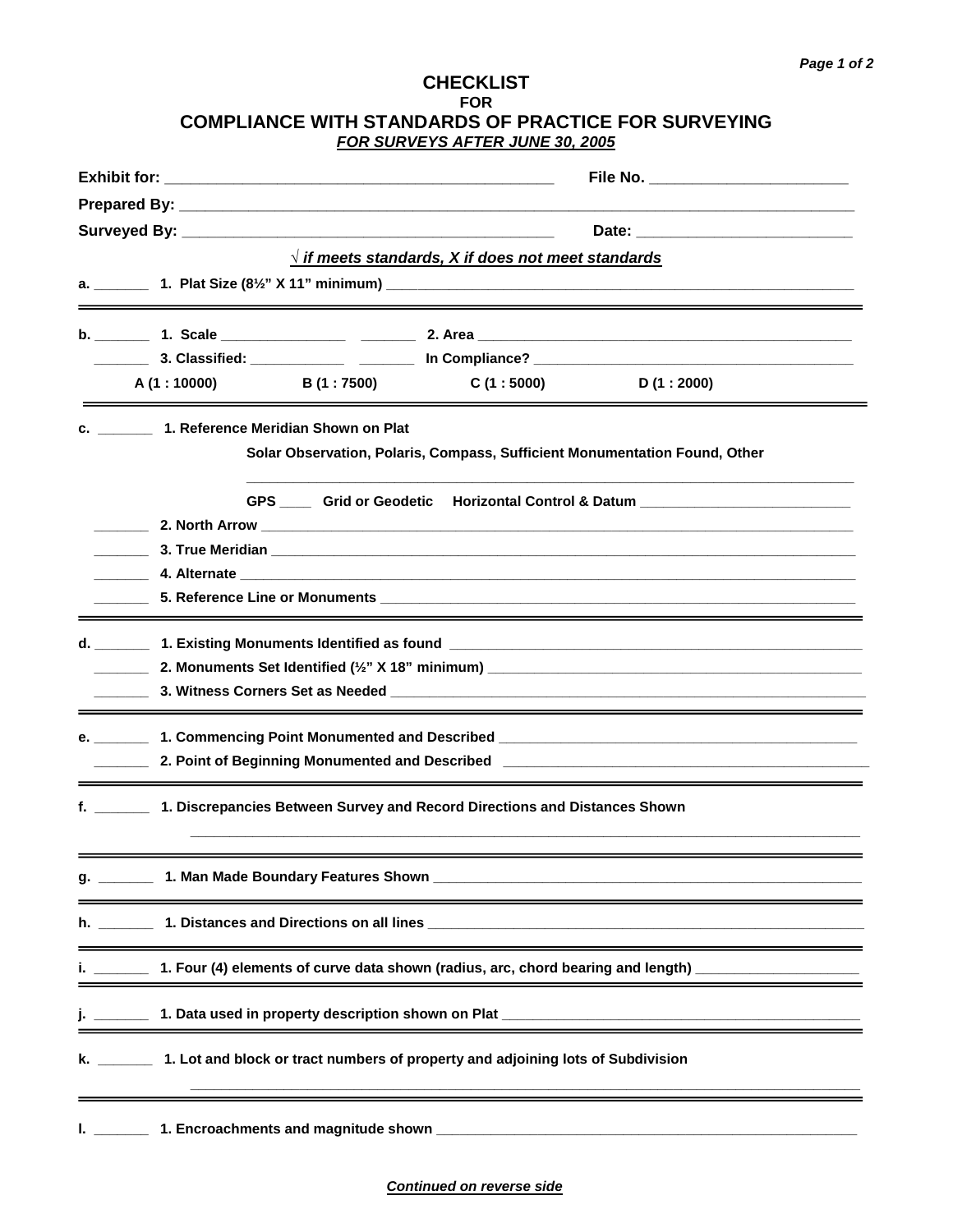## **CHECKLIST FOR COMPLIANCE WITH STANDARDS OF PRACTICE FOR SURVEYING FOR SURVEYS AFTER JUNE 30, 2005**

|    |                                                                                                                                                                                                                                                     |                                        | File No. ___________________________                                                         |                                                                                                                                                                                                                                |  |  |
|----|-----------------------------------------------------------------------------------------------------------------------------------------------------------------------------------------------------------------------------------------------------|----------------------------------------|----------------------------------------------------------------------------------------------|--------------------------------------------------------------------------------------------------------------------------------------------------------------------------------------------------------------------------------|--|--|
|    |                                                                                                                                                                                                                                                     |                                        |                                                                                              |                                                                                                                                                                                                                                |  |  |
|    |                                                                                                                                                                                                                                                     |                                        |                                                                                              |                                                                                                                                                                                                                                |  |  |
|    |                                                                                                                                                                                                                                                     |                                        | $\sqrt{t}$ if meets standards, X if does not meet standards                                  |                                                                                                                                                                                                                                |  |  |
|    |                                                                                                                                                                                                                                                     |                                        |                                                                                              |                                                                                                                                                                                                                                |  |  |
|    | <u> 1989 - Johann Stoff, deutscher Stoff, der Stoff, der Stoff, der Stoff, der Stoff, der Stoff, der Stoff, der S</u>                                                                                                                               |                                        |                                                                                              |                                                                                                                                                                                                                                |  |  |
|    |                                                                                                                                                                                                                                                     |                                        |                                                                                              |                                                                                                                                                                                                                                |  |  |
|    |                                                                                                                                                                                                                                                     |                                        |                                                                                              |                                                                                                                                                                                                                                |  |  |
|    | A (1:10000)                                                                                                                                                                                                                                         | <b>B</b> (1 : 7500)                    | C (1 : 5000)                                                                                 | D(1:2000)                                                                                                                                                                                                                      |  |  |
|    | c. 1. Reference Meridian Shown on Plat                                                                                                                                                                                                              |                                        |                                                                                              |                                                                                                                                                                                                                                |  |  |
|    |                                                                                                                                                                                                                                                     |                                        | Solar Observation, Polaris, Compass, Sufficient Monumentation Found, Other                   |                                                                                                                                                                                                                                |  |  |
|    |                                                                                                                                                                                                                                                     |                                        |                                                                                              |                                                                                                                                                                                                                                |  |  |
|    |                                                                                                                                                                                                                                                     |                                        |                                                                                              | GPS _____ Grid or Geodetic Horizontal Control & Datum __________________________                                                                                                                                               |  |  |
|    | <b>2. North Arrow Contained Arrow Contained Arrow Contained Arrow and Arrow and Arrow and Arrow <b>Contained Arrow</b></b><br><b>3. True Meridian and Service Service Service Service Service Service Service Service Service Service Service S</b> |                                        |                                                                                              |                                                                                                                                                                                                                                |  |  |
|    |                                                                                                                                                                                                                                                     |                                        |                                                                                              |                                                                                                                                                                                                                                |  |  |
|    |                                                                                                                                                                                                                                                     |                                        |                                                                                              |                                                                                                                                                                                                                                |  |  |
|    |                                                                                                                                                                                                                                                     |                                        |                                                                                              |                                                                                                                                                                                                                                |  |  |
|    |                                                                                                                                                                                                                                                     |                                        |                                                                                              |                                                                                                                                                                                                                                |  |  |
|    |                                                                                                                                                                                                                                                     |                                        |                                                                                              |                                                                                                                                                                                                                                |  |  |
|    |                                                                                                                                                                                                                                                     |                                        |                                                                                              |                                                                                                                                                                                                                                |  |  |
|    |                                                                                                                                                                                                                                                     |                                        |                                                                                              |                                                                                                                                                                                                                                |  |  |
|    |                                                                                                                                                                                                                                                     |                                        |                                                                                              | 2. Point of Beginning Monumented and Described 2. And the control of the control of the control of the control of the control of the control of the control of the control of the control of the control of the control of the |  |  |
|    |                                                                                                                                                                                                                                                     |                                        |                                                                                              |                                                                                                                                                                                                                                |  |  |
|    |                                                                                                                                                                                                                                                     |                                        | f. _________ 1. Discrepancies Between Survey and Record Directions and Distances Shown       |                                                                                                                                                                                                                                |  |  |
|    |                                                                                                                                                                                                                                                     |                                        |                                                                                              |                                                                                                                                                                                                                                |  |  |
|    |                                                                                                                                                                                                                                                     |                                        |                                                                                              |                                                                                                                                                                                                                                |  |  |
|    |                                                                                                                                                                                                                                                     |                                        |                                                                                              | g. _________ 1. Man Made Boundary Features Shown _______________________________                                                                                                                                               |  |  |
|    |                                                                                                                                                                                                                                                     |                                        |                                                                                              |                                                                                                                                                                                                                                |  |  |
|    |                                                                                                                                                                                                                                                     |                                        |                                                                                              |                                                                                                                                                                                                                                |  |  |
|    | 1. Four (4) elements of curve data shown (radius, arc, chord bearing and length) __________________                                                                                                                                                 |                                        |                                                                                              |                                                                                                                                                                                                                                |  |  |
|    |                                                                                                                                                                                                                                                     |                                        |                                                                                              |                                                                                                                                                                                                                                |  |  |
|    |                                                                                                                                                                                                                                                     |                                        |                                                                                              |                                                                                                                                                                                                                                |  |  |
|    |                                                                                                                                                                                                                                                     |                                        | k. _________ 1. Lot and block or tract numbers of property and adjoining lots of Subdivision |                                                                                                                                                                                                                                |  |  |
|    |                                                                                                                                                                                                                                                     |                                        |                                                                                              |                                                                                                                                                                                                                                |  |  |
|    |                                                                                                                                                                                                                                                     |                                        |                                                                                              |                                                                                                                                                                                                                                |  |  |
| Ъ. |                                                                                                                                                                                                                                                     | 1. Encroachments and magnitude shown _ |                                                                                              |                                                                                                                                                                                                                                |  |  |